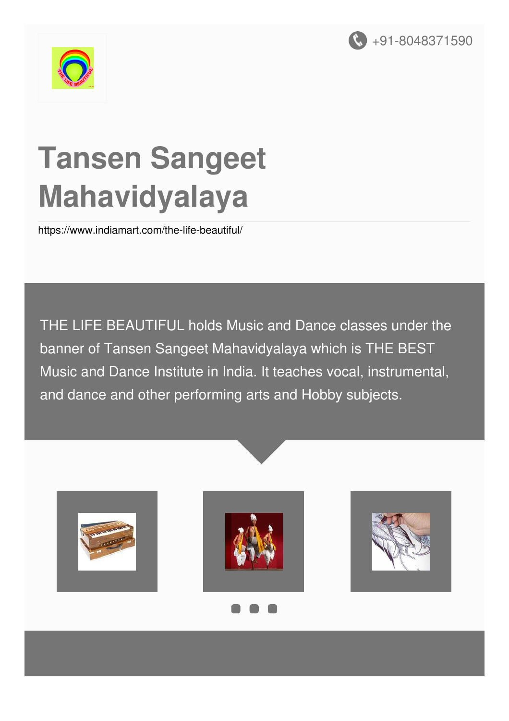



# **Tansen Sangeet Mahavidyalaya**

<https://www.indiamart.com/the-life-beautiful/>

THE LIFE BEAUTIFUL holds Music and Dance classes under the banner of Tansen Sangeet Mahavidyalaya which is THE BEST Music and Dance Institute in India. It teaches vocal, instrumental, and dance and other performing arts and Hobby subjects.

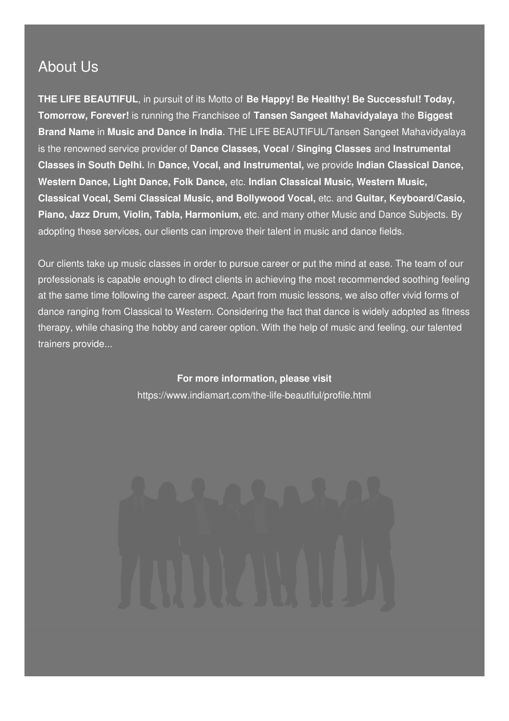#### About Us

**THE LIFE BEAUTIFUL**, in pursuit of its Motto of **Be Happy! Be Healthy! Be Successful! Today, Tomorrow, Forever!** is running the Franchisee of **Tansen Sangeet Mahavidyalaya** the **Biggest Brand Name** in **Music and Dance in India**. THE LIFE BEAUTIFUL/Tansen Sangeet Mahavidyalaya is the renowned service provider of **Dance Classes, Vocal / Singing Classes** and **Instrumental Classes in South Delhi.** In **Dance, Vocal, and Instrumental,** we provide **Indian Classical Dance, Western Dance, Light Dance, Folk Dance,** etc. **Indian Classical Music, Western Music, Classical Vocal, Semi Classical Music, and Bollywood Vocal,** etc. and **Guitar, Keyboard/Casio, Piano, Jazz Drum, Violin, Tabla, Harmonium,** etc. and many other Music and Dance Subjects. By adopting these services, our clients can improve their talent in music and dance fields.

Our clients take up music classes in order to pursue career or put the mind at ease. The team of our professionals is capable enough to direct clients in achieving the most recommended soothing feeling at the same time following the career aspect. Apart from music lessons, we also offer vivid forms of dance ranging from Classical to Western. Considering the fact that dance is widely adopted as fitness therapy, while chasing the hobby and career option. With the help of music and feeling, our talented trainers provide...

> **For more information, please visit** <https://www.indiamart.com/the-life-beautiful/profile.html>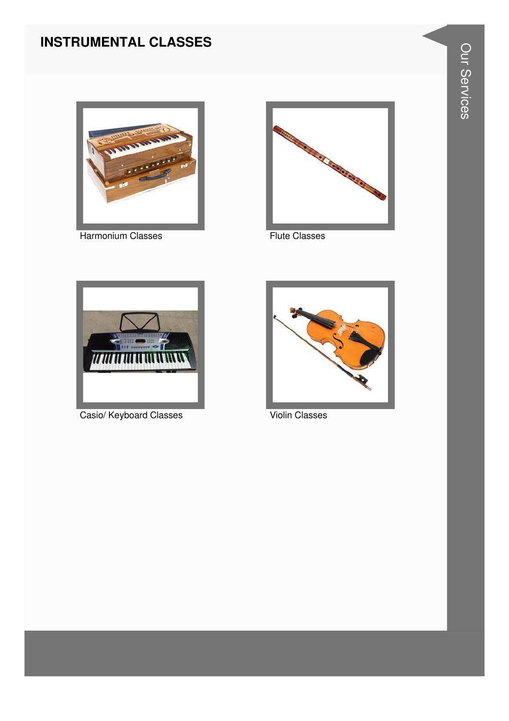### **INSTRUMENTAL CLASSES**



Harmonium Classes **Flute Classes** 





Casio/ Keyboard Classes Violin Classes

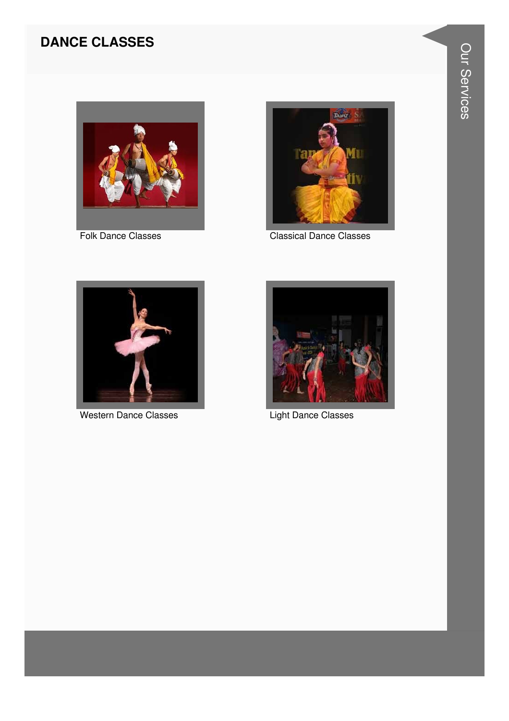### **DANCE CLASSES**



Folk Dance Classes



**Classical Dance Classes** 



**Western Dance Classes** 



**Light Dance Classes**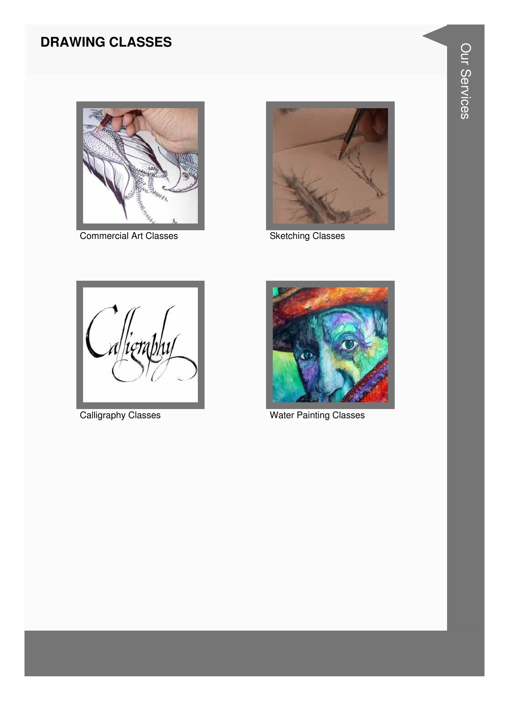### **DRAWING CLASSES**



Commercial Art Classes **Sketching Classes** 







Calligraphy Classes **Water Painting Classes**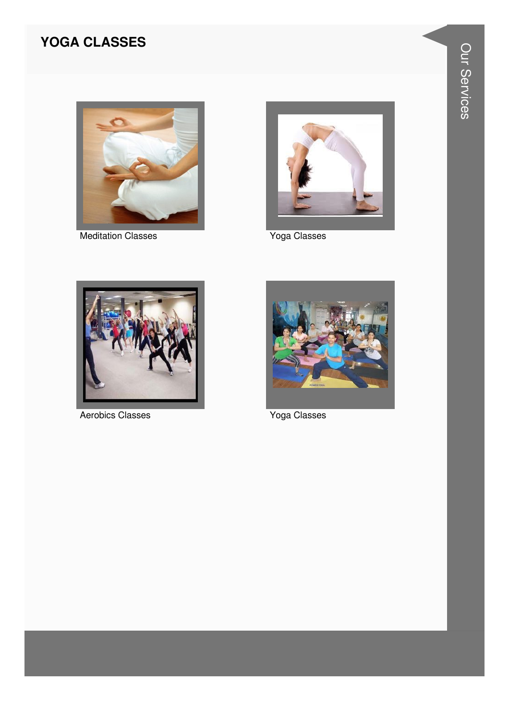#### **YOGA CLASSES**



**Meditation Classes** 



Yoga Classes



**Aerobics Classes** 



Yoga Classes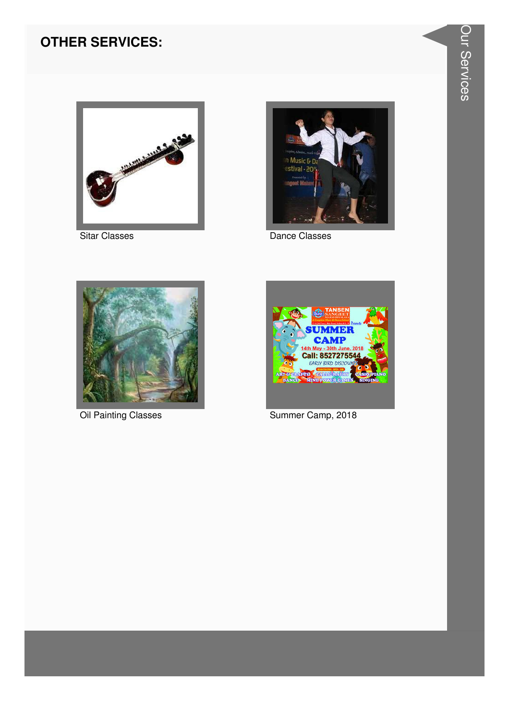#### **OTHER SERVICES:**



**Sitar Classes** 



Dance Classes



**Oil Painting Classes** 



Summer Camp, 2018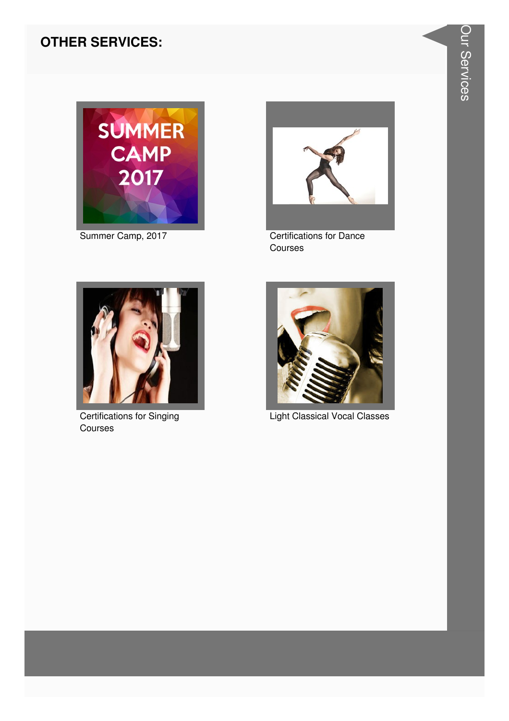#### **OTHER SERVICES:**



Summer Camp, 2017



**Certifications for Dance** Courses



**Certifications for Singing** Courses



Light Classical Vocal Classes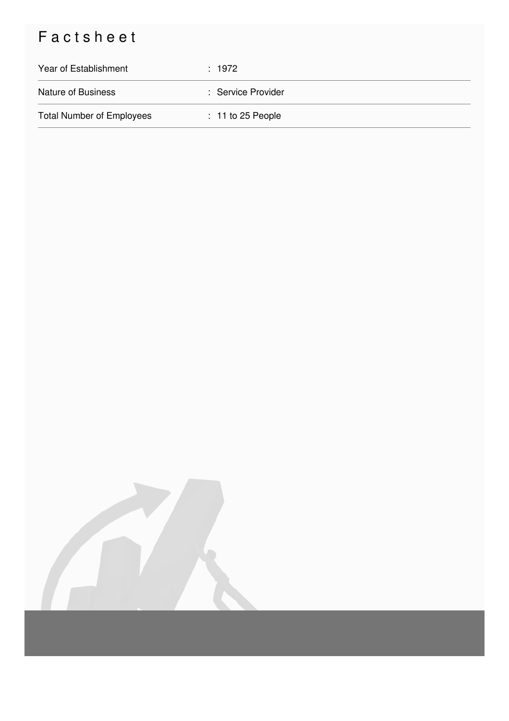## Factsheet

| Year of Establishment            | : 1972              |
|----------------------------------|---------------------|
| <b>Nature of Business</b>        | : Service Provider  |
| <b>Total Number of Employees</b> | $: 11$ to 25 People |